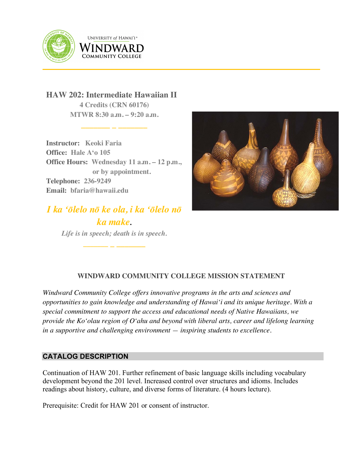

**UNIVERSITY of HAWAI'I**® WINDWARD **COMMUNITY COLLEGE** 

**HAW 202: Intermediate Hawaiian II 4 Credits (CRN 60176) MTWR 8:30 a.m. – 9:20 a.m.**

**\_\_\_\_\_\_\_ \_ \_\_\_\_\_\_\_**

**Instructor: Keoki Faria Office: Hale Aʻo 105 Office Hours: Wednesday 11 a.m. – 12 p.m., or by appointment. Telephone: 236-9249 Email: bfaria@hawaii.edu**

# *I ka ʻōlelo nō ke ola, i ka ʻōlelo nō ka make***.**

*Life is in speech; death is in speech.* **\_\_\_\_\_\_\_ \_ \_\_\_\_\_\_\_**



# **WINDWARD COMMUNITY COLLEGE MISSION STATEMENT**

*Windward Community College offers innovative programs in the arts and sciences and opportunities to gain knowledge and understanding of Hawai'i and its unique heritage. With a special commitment to support the access and educational needs of Native Hawaiians, we provide the Ko'olau region of Oʻahu and beyond with liberal arts, career and lifelong learning in a supportive and challenging environment — inspiring students to excellence.*

# **CATALOG DESCRIPTION**

Continuation of HAW 201. Further refinement of basic language skills including vocabulary development beyond the 201 level. Increased control over structures and idioms. Includes readings about history, culture, and diverse forms of literature. (4 hours lecture).

Prerequisite: Credit for HAW 201 or consent of instructor.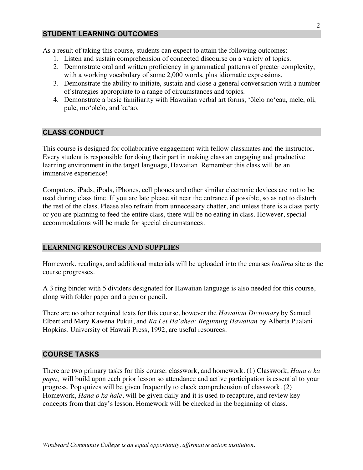#### **STUDENT LEARNING OUTCOMES**

As a result of taking this course, students can expect to attain the following outcomes:

- 1. Listen and sustain comprehension of connected discourse on a variety of topics.
- 2. Demonstrate oral and written proficiency in grammatical patterns of greater complexity, with a working vocabulary of some 2,000 words, plus idiomatic expressions.
- 3. Demonstrate the ability to initiate, sustain and close a general conversation with a number of strategies appropriate to a range of circumstances and topics.
- 4. Demonstrate a basic familiarity with Hawaiian verbal art forms; ʻōlelo noʻeau, mele, oli, pule, moʻolelo, and kaʻao.

#### **CLASS CONDUCT**

This course is designed for collaborative engagement with fellow classmates and the instructor. Every student is responsible for doing their part in making class an engaging and productive learning environment in the target language, Hawaiian. Remember this class will be an immersive experience!

Computers, iPads, iPods, iPhones, cell phones and other similar electronic devices are not to be used during class time. If you are late please sit near the entrance if possible, so as not to disturb the rest of the class. Please also refrain from unnecessary chatter, and unless there is a class party or you are planning to feed the entire class, there will be no eating in class. However, special accommodations will be made for special circumstances.

#### **LEARNING RESOURCES AND SUPPLIES**

Homework, readings, and additional materials will be uploaded into the courses *laulima* site as the course progresses.

A 3 ring binder with 5 dividers designated for Hawaiian language is also needed for this course, along with folder paper and a pen or pencil.

There are no other required texts for this course, however the *Hawaiian Dictionary* by Samuel Elbert and Mary Kawena Pukui, and *Ka Lei Haʻaheo: Beginning Hawaiian* by Alberta Pualani Hopkins. University of Hawaii Press, 1992, are useful resources.

#### **COURSE TASKS**

There are two primary tasks for this course: classwork, and homework. (1) Classwork, *Hana o ka papa*, will build upon each prior lesson so attendance and active participation is essential to your progress. Pop quizes will be given frequently to check comprehension of classwork. (2) Homework, *Hana o ka hale*, will be given daily and it is used to recapture, and review key concepts from that day's lesson. Homework will be checked in the beginning of class.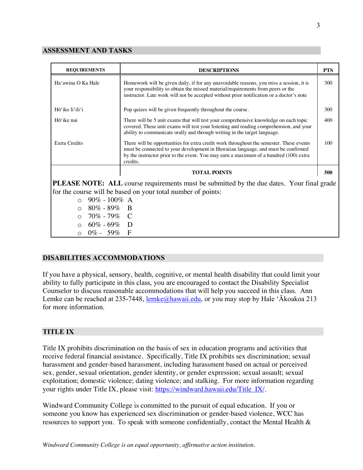#### **ASSESSMENT AND TASKS**

| <b>REQUIREMENTS</b>                                                                                                                                                                                                                                                                                             | <b>DESCRIPTIONS</b>                                                                                                                                                                                                                                                               | <b>PTS</b> |
|-----------------------------------------------------------------------------------------------------------------------------------------------------------------------------------------------------------------------------------------------------------------------------------------------------------------|-----------------------------------------------------------------------------------------------------------------------------------------------------------------------------------------------------------------------------------------------------------------------------------|------------|
| Ha'awina O Ka Hale                                                                                                                                                                                                                                                                                              | Homework will be given daily, if for any unavoidable reasons, you miss a session, it is<br>your responsibility to obtain the missed material/requirements from peers or the<br>instructor. Late work will not be accepted without prior notification or a doctor's note           | 300        |
| Hō'ike li'ili'i                                                                                                                                                                                                                                                                                                 | Pop quizes will be given frequently throughout the course.                                                                                                                                                                                                                        | 300        |
| Hō'ike nui                                                                                                                                                                                                                                                                                                      | There will be 5 unit exams that will test your comprehensive knowledge on each topic<br>covered. These unit exams will test your listening and reading comprehension, and your<br>ability to communicate orally and through writing in the target language.                       | 400        |
| <b>Extra Credits</b>                                                                                                                                                                                                                                                                                            | There will be opportunities for extra credit work throughout the semester. These events<br>must be connected to your development in Hawaiian language, and must be confirmed<br>by the instructor prior to the event. You may earn a maximum of a hundred (100) extra<br>credits. | 100        |
|                                                                                                                                                                                                                                                                                                                 | <b>TOTAL POINTS</b>                                                                                                                                                                                                                                                               | 500        |
| <b>PLEASE NOTE:</b> ALL course requirements must be submitted by the due dates. Your final grade<br>for the course will be based on your total number of points:<br>$90\% - 100\%$ A<br>$\bigcap$<br>$80\% - 89\%$ B<br>$\circ$<br>70% - 79% C<br>$\bigcap$<br>$60\%$ - $69\%$ D<br>$\bigcap$<br>$0\% - 59\%$ F |                                                                                                                                                                                                                                                                                   |            |

## **DISABILITIES ACCOMMODATIONS**

If you have a physical, sensory, health, cognitive, or mental health disability that could limit your ability to fully participate in this class, you are encouraged to contact the Disability Specialist Counselor to discuss reasonable accommodations that will help you succeed in this class. Ann Lemke can be reached at 235-7448, lemke@hawaii.edu, or you may stop by Hale 'Ākoakoa 213 for more information.

#### **TITLE IX**

Title IX prohibits discrimination on the basis of sex in education programs and activities that receive federal financial assistance. Specifically, Title IX prohibits sex discrimination; sexual harassment and gender-based harassment, including harassment based on actual or perceived sex, gender, sexual orientation, gender identity, or gender expression; sexual assault; sexual exploitation; domestic violence; dating violence; and stalking. For more information regarding your rights under Title IX, please visit: https://windward.hawaii.edu/Title IX/.

Windward Community College is committed to the pursuit of equal education. If you or someone you know has experienced sex discrimination or gender-based violence, WCC has resources to support you. To speak with someone confidentially, contact the Mental Health  $\&$